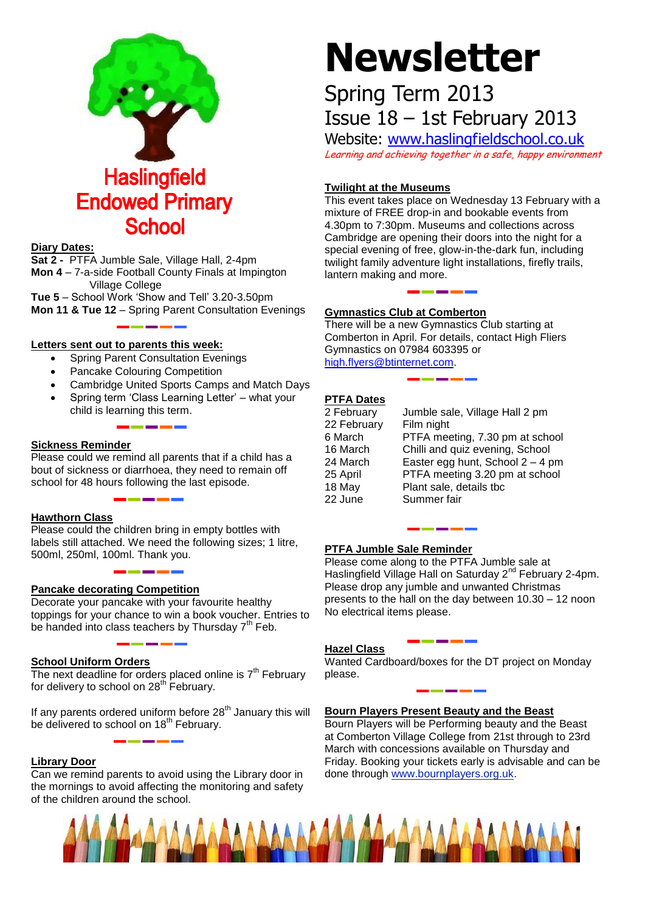

# **Diary Dates:**

**Sat 2 -** PTFA Jumble Sale, Village Hall, 2-4pm **Mon 4** – 7-a-side Football County Finals at Impington Village College

**Tue 5** – School Work 'Show and Tell' 3.20-3.50pm **Mon 11 & Tue 12** – Spring Parent Consultation Evenings

# **Letters sent out to parents this week:**

- Spring Parent Consultation Evenings
- Pancake Colouring Competition
- Cambridge United Sports Camps and Match Days
- Spring term 'Class Learning Letter' what your child is learning this term.

# **Sickness Reminder**

Please could we remind all parents that if a child has a bout of sickness or diarrhoea, they need to remain off school for 48 hours following the last episode.

# **Hawthorn Class**

Please could the children bring in empty bottles with labels still attached. We need the following sizes; 1 litre, 500ml, 250ml, 100ml. Thank you.

# **Pancake decorating Competition**

Decorate your pancake with your favourite healthy toppings for your chance to win a book voucher. Entries to be handed into class teachers by Thursday  $7<sup>th</sup>$  Feb.

# **School Uniform Orders**

The next deadline for orders placed online is  $7<sup>th</sup>$  February for delivery to school on 28<sup>th</sup> February.

If any parents ordered uniform before  $28<sup>th</sup>$  January this will be delivered to school on 18<sup>th</sup> February.

# **Library Door**

Can we remind parents to avoid using the Library door in the mornings to avoid affecting the monitoring and safety of the children around the school.

# **Newsletter**

# Spring Term 2013 Issue 18 – 1st February 2013

Website: [www.haslingfieldschool.co.uk](http://www.haslingfieldschool.co.uk/) Learning and achieving together in a safe, happy environment

# **Twilight at the Museums**

This event takes place on Wednesday 13 February with a mixture of FREE drop-in and bookable events from 4.30pm to 7:30pm. Museums and collections across Cambridge are opening their doors into the night for a special evening of free, glow-in-the-dark fun, including twilight family adventure light installations, firefly trails, lantern making and more.

# **Gymnastics Club at Comberton**

There will be a new Gymnastics Club starting at Comberton in April. For details, contact High Fliers Gymnastics on 07984 603395 or [high.flyers@btinternet.com.](mailto:high.flyers@btinternet.com)

# **PTFA Dates**

| 2 February  | Jumble sale, Village Hall 2 pm     |
|-------------|------------------------------------|
| 22 February | Film night                         |
| 6 March     | PTFA meeting, 7.30 pm at school    |
| 16 March    | Chilli and quiz evening, School    |
| 24 March    | Easter egg hunt, School $2 - 4$ pm |
| 25 April    | PTFA meeting 3.20 pm at school     |
| 18 May      | Plant sale, details tbc            |
| 22 June     | Summer fair                        |
|             |                                    |

#### **PTFA Jumble Sale Reminder**

Please come along to the PTFA Jumble sale at Haslingfield Village Hall on Saturday 2<sup>nd</sup> February 2-4pm. Please drop any jumble and unwanted Christmas presents to the hall on the day between 10.30 – 12 noon No electrical items please.

# **Hazel Class**

Wanted Cardboard/boxes for the DT project on Monday please.

# **Bourn Players Present Beauty and the Beast**

Bourn Players will be Performing beauty and the Beast at Comberton Village College from 21st through to 23rd March with concessions available on Thursday and Friday. Booking your tickets early is advisable and can be done through [www.bournplayers.org.uk.](http://www.bourmplayers.org.uk/)